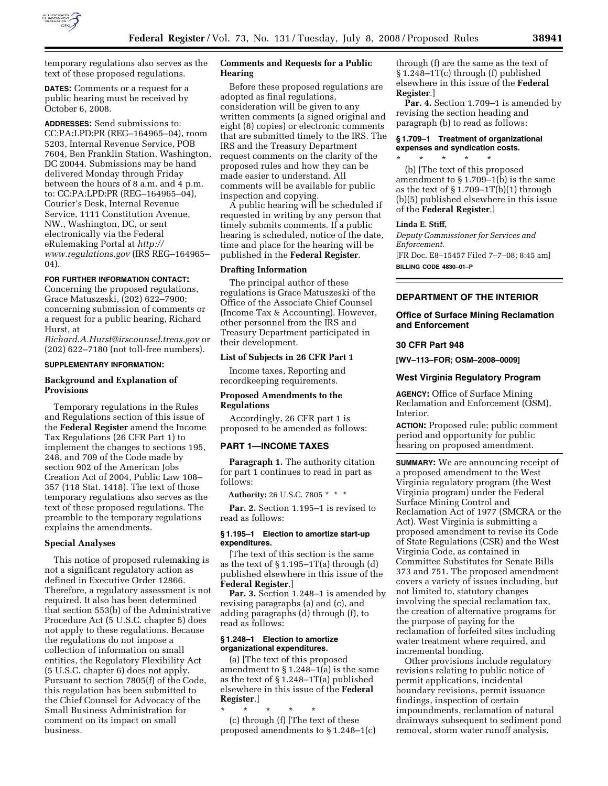

temporary regulations also serves as the text of these proposed regulations.

**DATES:** Comments or a request for a public hearing must be received by October 6, 2008.

**ADDRESSES:** Send submissions to: CC:PA:LPD:PR (REG–164965–04), room 5203, Internal Revenue Service, POB 7604, Ben Franklin Station, Washington, DC 20044. Submissions may be hand delivered Monday through Friday between the hours of 8 a.m. and 4 p.m. to: CC:PA:LPD:PR (REG–164965–04), Courier's Desk, Internal Revenue Service, 1111 Constitution Avenue, NW., Washington, DC, or sent electronically via the Federal eRulemaking Portal at *http:// www.regulations.gov* (IRS REG–164965– 04).

#### **FOR FURTHER INFORMATION CONTACT:**

Concerning the proposed regulations, Grace Matuszeski, (202) 622–7900; concerning submission of comments or a request for a public hearing, Richard Hurst, at

*Richard.A.Hurst@irscounsel.treas.gov* or (202) 622–7180 (not toll-free numbers).

## **SUPPLEMENTARY INFORMATION:**

## **Background and Explanation of Provisions**

Temporary regulations in the Rules and Regulations section of this issue of the **Federal Register** amend the Income Tax Regulations (26 CFR Part 1) to implement the changes to sections 195, 248, and 709 of the Code made by section 902 of the American Jobs Creation Act of 2004, Public Law 108– 357 (118 Stat. 1418). The text of those temporary regulations also serves as the text of these proposed regulations. The preamble to the temporary regulations explains the amendments.

#### **Special Analyses**

This notice of proposed rulemaking is not a significant regulatory action as defined in Executive Order 12866. Therefore, a regulatory assessment is not required. It also has been determined that section 553(b) of the Administrative Procedure Act (5 U.S.C. chapter 5) does not apply to these regulations. Because the regulations do not impose a collection of information on small entities, the Regulatory Flexibility Act (5 U.S.C. chapter 6) does not apply. Pursuant to section 7805(f) of the Code, this regulation has been submitted to the Chief Counsel for Advocacy of the Small Business Administration for comment on its impact on small business.

# **Comments and Requests for a Public Hearing**

Before these proposed regulations are adopted as final regulations, consideration will be given to any written comments (a signed original and eight (8) copies) or electronic comments that are submitted timely to the IRS. The IRS and the Treasury Department request comments on the clarity of the proposed rules and how they can be made easier to understand. All comments will be available for public inspection and copying.

A public hearing will be scheduled if requested in writing by any person that timely submits comments. If a public hearing is scheduled, notice of the date, time and place for the hearing will be published in the **Federal Register**.

#### **Drafting Information**

The principal author of these regulations is Grace Matuszeski of the Office of the Associate Chief Counsel (Income Tax & Accounting). However, other personnel from the IRS and Treasury Department participated in their development.

#### **List of Subjects in 26 CFR Part 1**

Income taxes, Reporting and recordkeeping requirements.

#### **Proposed Amendments to the Regulations**

Accordingly, 26 CFR part 1 is proposed to be amended as follows:

# **PART 1—INCOME TAXES**

**Paragraph 1.** The authority citation for part 1 continues to read in part as follows:

**Authority:** 26 U.S.C. 7805 \* \* \*

**Par. 2.** Section 1.195–1 is revised to read as follows:

## **§ 1.195–1 Election to amortize start-up expenditures.**

[The text of this section is the same as the text of  $\S 1.195-1T(a)$  through (d) published elsewhere in this issue of the **Federal Register**.]

**Par. 3.** Section 1.248–1 is amended by revising paragraphs (a) and (c), and adding paragraphs (d) through (f), to read as follows:

## **§ 1.248–1 Election to amortize organizational expenditures.**

(a) [The text of this proposed amendment to § 1.248–1(a) is the same as the text of § 1.248–1T(a) published elsewhere in this issue of the **Federal Register**.]

\* \* \* \* \* (c) through (f) [The text of these proposed amendments to § 1.248–1(c) through (f) are the same as the text of § 1.248–1T(c) through (f) published elsewhere in this issue of the **Federal Register**.]

**Par. 4.** Section 1.709–1 is amended by revising the section heading and paragraph (b) to read as follows:

## **§ 1.709–1 Treatment of organizational expenses and syndication costs.**

\* \* \* \* \* (b) [The text of this proposed amendment to § 1.709–1(b) is the same as the text of  $\S 1.709 - 1T(b)(1)$  through (b)(5) published elsewhere in this issue of the **Federal Register**.]

#### **Linda E. Stiff,**

*Deputy Commissioner for Services and Enforcement.*  [FR Doc. E8–15457 Filed 7–7–08; 8:45 am] **BILLING CODE 4830–01–P** 

# **DEPARTMENT OF THE INTERIOR**

# **Office of Surface Mining Reclamation and Enforcement**

# **30 CFR Part 948**

**[WV–113–FOR; OSM–2008–0009]** 

#### **West Virginia Regulatory Program**

**AGENCY:** Office of Surface Mining Reclamation and Enforcement (OSM), Interior.

**ACTION:** Proposed rule; public comment period and opportunity for public hearing on proposed amendment.

**SUMMARY:** We are announcing receipt of a proposed amendment to the West Virginia regulatory program (the West Virginia program) under the Federal Surface Mining Control and Reclamation Act of 1977 (SMCRA or the Act). West Virginia is submitting a proposed amendment to revise its Code of State Regulations (CSR) and the West Virginia Code, as contained in Committee Substitutes for Senate Bills 373 and 751. The proposed amendment covers a variety of issues including, but not limited to, statutory changes involving the special reclamation tax, the creation of alternative programs for the purpose of paying for the reclamation of forfeited sites including water treatment where required, and incremental bonding.

Other provisions include regulatory revisions relating to public notice of permit applications, incidental boundary revisions, permit issuance findings, inspection of certain impoundments, reclamation of natural drainways subsequent to sediment pond removal, storm water runoff analysis,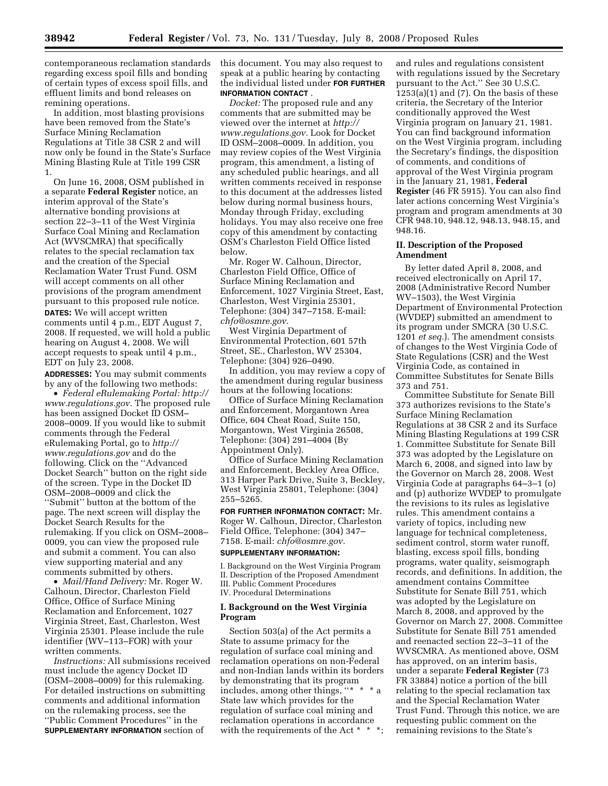contemporaneous reclamation standards regarding excess spoil fills and bonding of certain types of excess spoil fills, and effluent limits and bond releases on remining operations.

In addition, most blasting provisions have been removed from the State's Surface Mining Reclamation Regulations at Title 38 CSR 2 and will now only be found in the State's Surface Mining Blasting Rule at Title 199 CSR 1.

On June 16, 2008, OSM published in a separate **Federal Register** notice, an interim approval of the State's alternative bonding provisions at section 22–3–11 of the West Virginia Surface Coal Mining and Reclamation Act (WVSCMRA) that specifically relates to the special reclamation tax and the creation of the Special Reclamation Water Trust Fund. OSM will accept comments on all other provisions of the program amendment pursuant to this proposed rule notice. **DATES:** We will accept written comments until 4 p.m., EDT August 7, 2008. If requested, we will hold a public hearing on August 4, 2008. We will accept requests to speak until 4 p.m., EDT on July 23, 2008.

**ADDRESSES:** You may submit comments by any of the following two methods:

• *Federal eRulemaking Portal: http:// www.regulations.gov.* The proposed rule has been assigned Docket ID OSM– 2008–0009. If you would like to submit comments through the Federal eRulemaking Portal, go to *http:// www.regulations.gov* and do the following. Click on the ''Advanced Docket Search'' button on the right side of the screen. Type in the Docket ID OSM–2008–0009 and click the ''Submit'' button at the bottom of the page. The next screen will display the Docket Search Results for the rulemaking. If you click on OSM–2008– 0009, you can view the proposed rule and submit a comment. You can also view supporting material and any comments submitted by others.

• *Mail/Hand Delivery:* Mr. Roger W. Calhoun, Director, Charleston Field Office, Office of Surface Mining Reclamation and Enforcement, 1027 Virginia Street, East, Charleston, West Virginia 25301. Please include the rule identifier (WV–113–FOR) with your written comments.

*Instructions:* All submissions received must include the agency Docket ID (OSM–2008–0009) for this rulemaking. For detailed instructions on submitting comments and additional information on the rulemaking process, see the ''Public Comment Procedures'' in the **SUPPLEMENTARY INFORMATION** section of

this document. You may also request to speak at a public hearing by contacting the individual listed under **FOR FURTHER INFORMATION CONTACT** .

*Docket:* The proposed rule and any comments that are submitted may be viewed over the internet at *http:// www.regulations.gov.* Look for Docket ID OSM–2008–0009. In addition, you may review copies of the West Virginia program, this amendment, a listing of any scheduled public hearings, and all written comments received in response to this document at the addresses listed below during normal business hours, Monday through Friday, excluding holidays. You may also receive one free copy of this amendment by contacting OSM's Charleston Field Office listed below.

Mr. Roger W. Calhoun, Director, Charleston Field Office, Office of Surface Mining Reclamation and Enforcement, 1027 Virginia Street, East, Charleston, West Virginia 25301, Telephone: (304) 347–7158. E-mail: *chfo@osmre.gov.* 

West Virginia Department of Environmental Protection, 601 57th Street, SE., Charleston, WV 25304, Telephone: (304) 926–0490.

In addition, you may review a copy of the amendment during regular business hours at the following locations:

Office of Surface Mining Reclamation and Enforcement, Morgantown Area Office, 604 Cheat Road, Suite 150, Morgantown, West Virginia 26508, Telephone: (304) 291–4004 (By Appointment Only).

Office of Surface Mining Reclamation and Enforcement, Beckley Area Office, 313 Harper Park Drive, Suite 3, Beckley, West Virginia 25801, Telephone: (304) 255–5265.

**FOR FURTHER INFORMATION CONTACT:** Mr. Roger W. Calhoun, Director, Charleston Field Office, Telephone: (304) 347– 7158. E-mail: *chfo@osmre.gov.* 

### **SUPPLEMENTARY INFORMATION:**

I. Background on the West Virginia Program II. Description of the Proposed Amendment III. Public Comment Procedures IV. Procedural Determinations

## **I. Background on the West Virginia Program**

Section 503(a) of the Act permits a State to assume primacy for the regulation of surface coal mining and reclamation operations on non-Federal and non-Indian lands within its borders by demonstrating that its program includes, among other things, ''\* \* \* a State law which provides for the regulation of surface coal mining and reclamation operations in accordance with the requirements of the Act \* \* \*; and rules and regulations consistent with regulations issued by the Secretary pursuant to the Act.'' See 30 U.S.C.  $1253(a)(1)$  and  $(7)$ . On the basis of these criteria, the Secretary of the Interior conditionally approved the West Virginia program on January 21, 1981. You can find background information on the West Virginia program, including the Secretary's findings, the disposition of comments, and conditions of approval of the West Virginia program in the January 21, 1981, **Federal Register** (46 FR 5915). You can also find later actions concerning West Virginia's program and program amendments at 30 CFR 948.10, 948.12, 948.13, 948.15, and 948.16.

# **II. Description of the Proposed Amendment**

By letter dated April 8, 2008, and received electronically on April 17, 2008 (Administrative Record Number WV–1503), the West Virginia Department of Environmental Protection (WVDEP) submitted an amendment to its program under SMCRA (30 U.S.C. 1201 *et seq.*). The amendment consists of changes to the West Virginia Code of State Regulations (CSR) and the West Virginia Code, as contained in Committee Substitutes for Senate Bills 373 and 751.

Committee Substitute for Senate Bill 373 authorizes revisions to the State's Surface Mining Reclamation Regulations at 38 CSR 2 and its Surface Mining Blasting Regulations at 199 CSR 1. Committee Substitute for Senate Bill 373 was adopted by the Legislature on March 6, 2008, and signed into law by the Governor on March 28, 2008. West Virginia Code at paragraphs 64–3–1 (o) and (p) authorize WVDEP to promulgate the revisions to its rules as legislative rules. This amendment contains a variety of topics, including new language for technical completeness, sediment control, storm water runoff, blasting, excess spoil fills, bonding programs, water quality, seismograph records, and definitions. In addition, the amendment contains Committee Substitute for Senate Bill 751, which was adopted by the Legislature on March 8, 2008, and approved by the Governor on March 27, 2008. Committee Substitute for Senate Bill 751 amended and reenacted section 22–3–11 of the WVSCMRA. As mentioned above, OSM has approved, on an interim basis, under a separate **Federal Register** (73 FR 33884) notice a portion of the bill relating to the special reclamation tax and the Special Reclamation Water Trust Fund. Through this notice, we are requesting public comment on the remaining revisions to the State's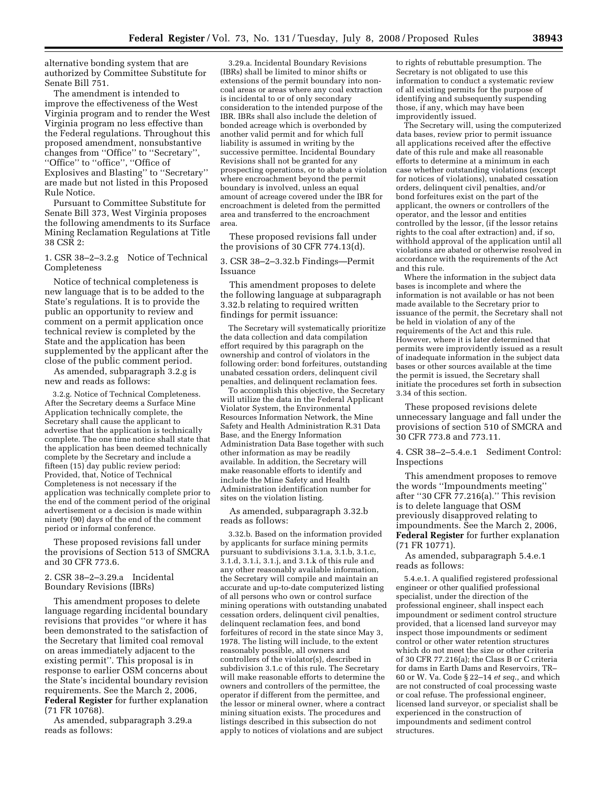alternative bonding system that are authorized by Committee Substitute for Senate Bill 751.

The amendment is intended to improve the effectiveness of the West Virginia program and to render the West Virginia program no less effective than the Federal regulations. Throughout this proposed amendment, nonsubstantive changes from ''Office'' to ''Secretary'', ''Office'' to ''office'', ''Office of Explosives and Blasting'' to ''Secretary'' are made but not listed in this Proposed Rule Notice.

Pursuant to Committee Substitute for Senate Bill 373, West Virginia proposes the following amendments to its Surface Mining Reclamation Regulations at Title 38 CSR 2:

1. CSR 38–2–3.2.g Notice of Technical Completeness

Notice of technical completeness is new language that is to be added to the State's regulations. It is to provide the public an opportunity to review and comment on a permit application once technical review is completed by the State and the application has been supplemented by the applicant after the close of the public comment period.

As amended, subparagraph 3.2.g is new and reads as follows:

3.2.g. Notice of Technical Completeness. After the Secretary deems a Surface Mine Application technically complete, the Secretary shall cause the applicant to advertise that the application is technically complete. The one time notice shall state that the application has been deemed technically complete by the Secretary and include a fifteen (15) day public review period: Provided, that, Notice of Technical Completeness is not necessary if the application was technically complete prior to the end of the comment period of the original advertisement or a decision is made within ninety (90) days of the end of the comment period or informal conference.

These proposed revisions fall under the provisions of Section 513 of SMCRA and 30 CFR 773.6.

# 2. CSR 38–2–3.29.a Incidental Boundary Revisions (IBRs)

This amendment proposes to delete language regarding incidental boundary revisions that provides ''or where it has been demonstrated to the satisfaction of the Secretary that limited coal removal on areas immediately adjacent to the existing permit''. This proposal is in response to earlier OSM concerns about the State's incidental boundary revision requirements. See the March 2, 2006, **Federal Register** for further explanation (71 FR 10768).

As amended, subparagraph 3.29.a reads as follows:

3.29.a. Incidental Boundary Revisions (IBRs) shall be limited to minor shifts or extensions of the permit boundary into noncoal areas or areas where any coal extraction is incidental to or of only secondary consideration to the intended purpose of the IBR. IBRs shall also include the deletion of bonded acreage which is overbonded by another valid permit and for which full liability is assumed in writing by the successive permittee. Incidental Boundary Revisions shall not be granted for any prospecting operations, or to abate a violation where encroachment beyond the permit boundary is involved, unless an equal amount of acreage covered under the IBR for encroachment is deleted from the permitted area and transferred to the encroachment area.

These proposed revisions fall under the provisions of 30 CFR 774.13(d).

3. CSR 38–2–3.32.b Findings—Permit Issuance

This amendment proposes to delete the following language at subparagraph 3.32.b relating to required written findings for permit issuance:

The Secretary will systematically prioritize the data collection and data compilation effort required by this paragraph on the ownership and control of violators in the following order: bond forfeitures, outstanding unabated cessation orders, delinquent civil penalties, and delinquent reclamation fees.

To accomplish this objective, the Secretary will utilize the data in the Federal Applicant Violator System, the Environmental Resources Information Network, the Mine Safety and Health Administration R.31 Data Base, and the Energy Information Administration Data Base together with such other information as may be readily available. In addition, the Secretary will make reasonable efforts to identify and include the Mine Safety and Health Administration identification number for sites on the violation listing.

As amended, subparagraph 3.32.b reads as follows:

3.32.b. Based on the information provided by applicants for surface mining permits pursuant to subdivisions 3.1.a, 3.1.b, 3.1.c, 3.1.d, 3.1.i, 3.1.j, and 3.1.k of this rule and any other reasonably available information, the Secretary will compile and maintain an accurate and up-to-date computerized listing of all persons who own or control surface mining operations with outstanding unabated cessation orders, delinquent civil penalties, delinquent reclamation fees, and bond forfeitures of record in the state since May 3, 1978. The listing will include, to the extent reasonably possible, all owners and controllers of the violator(s), described in subdivision 3.1.c of this rule. The Secretary will make reasonable efforts to determine the owners and controllers of the permittee, the operator if different from the permittee, and the lessor or mineral owner, where a contract mining situation exists. The procedures and listings described in this subsection do not apply to notices of violations and are subject

to rights of rebuttable presumption. The Secretary is not obligated to use this information to conduct a systematic review of all existing permits for the purpose of identifying and subsequently suspending those, if any, which may have been improvidently issued.

The Secretary will, using the computerized data bases, review prior to permit issuance all applications received after the effective date of this rule and make all reasonable efforts to determine at a minimum in each case whether outstanding violations (except for notices of violations), unabated cessation orders, delinquent civil penalties, and/or bond forfeitures exist on the part of the applicant, the owners or controllers of the operator, and the lessor and entities controlled by the lessor, (if the lessor retains rights to the coal after extraction) and, if so, withhold approval of the application until all violations are abated or otherwise resolved in accordance with the requirements of the Act and this rule.

Where the information in the subject data bases is incomplete and where the information is not available or has not been made available to the Secretary prior to issuance of the permit, the Secretary shall not be held in violation of any of the requirements of the Act and this rule. However, where it is later determined that permits were improvidently issued as a result of inadequate information in the subject data bases or other sources available at the time the permit is issued, the Secretary shall initiate the procedures set forth in subsection 3.34 of this section.

These proposed revisions delete unnecessary language and fall under the provisions of section 510 of SMCRA and 30 CFR 773.8 and 773.11.

4. CSR 38–2–5.4.e.1 Sediment Control: Inspections

This amendment proposes to remove the words ''Impoundments meeting'' after "30 CFR  $77.216(a)$ ." This revision is to delete language that OSM previously disapproved relating to impoundments. See the March 2, 2006, **Federal Register** for further explanation (71 FR 10771).

As amended, subparagraph 5.4.e.1 reads as follows:

5.4.e.1. A qualified registered professional engineer or other qualified professional specialist, under the direction of the professional engineer, shall inspect each impoundment or sediment control structure provided, that a licensed land surveyor may inspect those impoundments or sediment control or other water retention structures which do not meet the size or other criteria of 30 CFR 77.216(a); the Class B or C criteria for dams in Earth Dams and Reservoirs, TR– 60 or W. Va. Code § 22–14 *et seq*., and which are not constructed of coal processing waste or coal refuse. The professional engineer, licensed land surveyor, or specialist shall be experienced in the construction of impoundments and sediment control structures.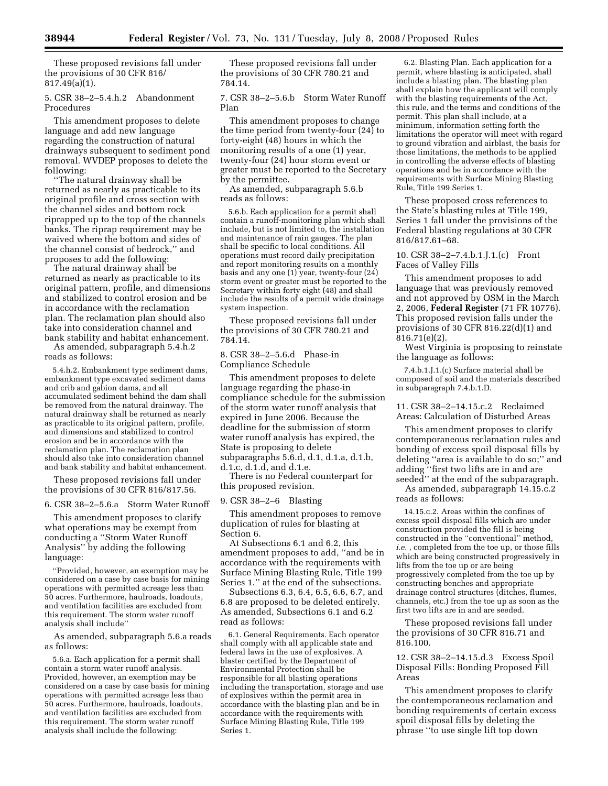These proposed revisions fall under the provisions of 30 CFR 816/ 817.49(a)(1).

5. CSR 38–2–5.4.h.2 Abandonment Procedures

This amendment proposes to delete language and add new language regarding the construction of natural drainways subsequent to sediment pond removal. WVDEP proposes to delete the following:

''The natural drainway shall be returned as nearly as practicable to its original profile and cross section with the channel sides and bottom rock riprapped up to the top of the channels banks. The riprap requirement may be waived where the bottom and sides of the channel consist of bedrock,'' and proposes to add the following:

The natural drainway shall be returned as nearly as practicable to its original pattern, profile, and dimensions and stabilized to control erosion and be in accordance with the reclamation plan. The reclamation plan should also take into consideration channel and bank stability and habitat enhancement. As amended, subparagraph 5.4.h.2

reads as follows:

5.4.h.2. Embankment type sediment dams, embankment type excavated sediment dams and crib and gabion dams, and all accumulated sediment behind the dam shall be removed from the natural drainway. The natural drainway shall be returned as nearly as practicable to its original pattern, profile, and dimensions and stabilized to control erosion and be in accordance with the reclamation plan. The reclamation plan should also take into consideration channel and bank stability and habitat enhancement.

These proposed revisions fall under the provisions of 30 CFR 816/817.56.

6. CSR 38–2–5.6.a Storm Water Runoff

This amendment proposes to clarify what operations may be exempt from conducting a ''Storm Water Runoff Analysis'' by adding the following language:

''Provided, however, an exemption may be considered on a case by case basis for mining operations with permitted acreage less than 50 acres. Furthermore, haulroads, loadouts, and ventilation facilities are excluded from this requirement. The storm water runoff analysis shall include''

As amended, subparagraph 5.6.a reads as follows:

5.6.a. Each application for a permit shall contain a storm water runoff analysis. Provided, however, an exemption may be considered on a case by case basis for mining operations with permitted acreage less than 50 acres. Furthermore, haulroads, loadouts, and ventilation facilities are excluded from this requirement. The storm water runoff analysis shall include the following:

These proposed revisions fall under the provisions of 30 CFR 780.21 and 784.14.

7. CSR 38–2–5.6.b Storm Water Runoff Plan

This amendment proposes to change the time period from twenty-four  $(24)$  to forty-eight (48) hours in which the monitoring results of a one (1) year, twenty-four (24) hour storm event or greater must be reported to the Secretary by the permittee.

As amended, subparagraph 5.6.b reads as follows:

5.6.b. Each application for a permit shall contain a runoff-monitoring plan which shall include, but is not limited to, the installation and maintenance of rain gauges. The plan shall be specific to local conditions. All operations must record daily precipitation and report monitoring results on a monthly basis and any one (1) year, twenty-four (24) storm event or greater must be reported to the Secretary within forty eight (48) and shall include the results of a permit wide drainage system inspection.

These proposed revisions fall under the provisions of 30 CFR 780.21 and 784.14.

8. CSR 38–2–5.6.d Phase-in Compliance Schedule

This amendment proposes to delete language regarding the phase-in compliance schedule for the submission of the storm water runoff analysis that expired in June 2006. Because the deadline for the submission of storm water runoff analysis has expired, the State is proposing to delete subparagraphs 5.6.d, d.1, d.1.a, d.1.b, d.1.c, d.1.d, and d.1.e.

There is no Federal counterpart for this proposed revision.

9. CSR 38–2–6 Blasting

This amendment proposes to remove duplication of rules for blasting at Section 6.

At Subsections 6.1 and 6.2, this amendment proposes to add, ''and be in accordance with the requirements with Surface Mining Blasting Rule, Title 199 Series 1.'' at the end of the subsections.

Subsections 6.3, 6.4, 6.5, 6.6, 6.7, and 6.8 are proposed to be deleted entirely. As amended, Subsections 6.1 and 6.2 read as follows:

6.1. General Requirements. Each operator shall comply with all applicable state and federal laws in the use of explosives. A blaster certified by the Department of Environmental Protection shall be responsible for all blasting operations including the transportation, storage and use of explosives within the permit area in accordance with the blasting plan and be in accordance with the requirements with Surface Mining Blasting Rule, Title 199 Series 1.

6.2. Blasting Plan. Each application for a permit, where blasting is anticipated, shall include a blasting plan. The blasting plan shall explain how the applicant will comply with the blasting requirements of the Act, this rule, and the terms and conditions of the permit. This plan shall include, at a minimum, information setting forth the limitations the operator will meet with regard to ground vibration and airblast, the basis for those limitations, the methods to be applied in controlling the adverse effects of blasting operations and be in accordance with the requirements with Surface Mining Blasting Rule, Title 199 Series 1.

These proposed cross references to the State's blasting rules at Title 199, Series 1 fall under the provisions of the Federal blasting regulations at 30 CFR 816/817.61–68.

10. CSR 38–2–7.4.b.1.J.1.(c) Front Faces of Valley Fills

This amendment proposes to add language that was previously removed and not approved by OSM in the March 2, 2006, **Federal Register** (71 FR 10776). This proposed revision falls under the provisions of 30 CFR 816.22(d)(1) and 816.71(e)(2).

West Virginia is proposing to reinstate the language as follows:

7.4.b.1.J.1.(c) Surface material shall be composed of soil and the materials described in subparagraph 7.4.b.1.D.

11. CSR 38–2–14.15.c.2 Reclaimed Areas: Calculation of Disturbed Areas

This amendment proposes to clarify contemporaneous reclamation rules and bonding of excess spoil disposal fills by deleting ''area is available to do so;'' and adding ''first two lifts are in and are seeded'' at the end of the subparagraph.

As amended, subparagraph 14.15.c.2 reads as follows:

14.15.c.2. Areas within the confines of excess spoil disposal fills which are under construction provided the fill is being constructed in the ''conventional'' method, *i.e.* , completed from the toe up, or those fills which are being constructed progressively in lifts from the toe up or are being progressively completed from the toe up by constructing benches and appropriate drainage control structures (ditches, flumes, channels, etc.) from the toe up as soon as the first two lifts are in and are seeded.

These proposed revisions fall under the provisions of 30 CFR 816.71 and 816.100.

12. CSR 38–2–14.15.d.3 Excess Spoil Disposal Fills: Bonding Proposed Fill Areas

This amendment proposes to clarify the contemporaneous reclamation and bonding requirements of certain excess spoil disposal fills by deleting the phrase ''to use single lift top down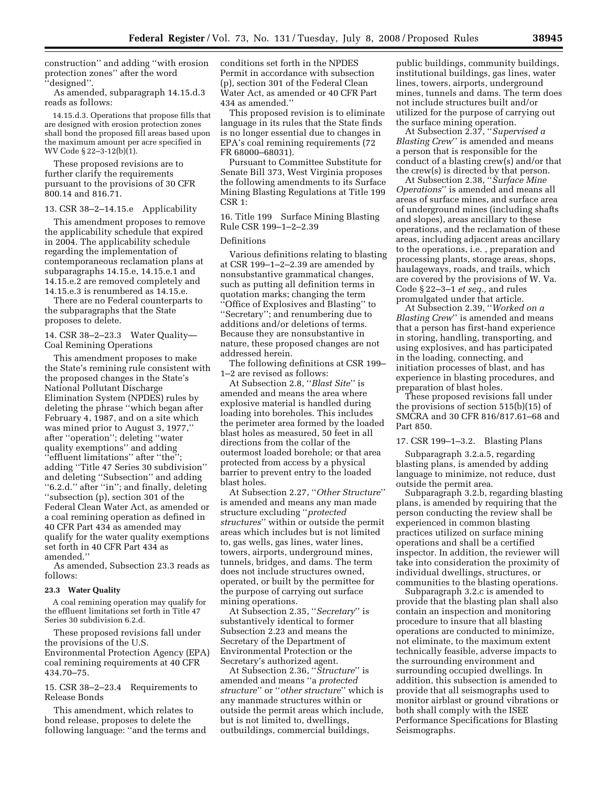construction'' and adding ''with erosion protection zones" after the word ''designed''.

As amended, subparagraph 14.15.d.3 reads as follows:

14.15.d.3. Operations that propose fills that are designed with erosion protection zones shall bond the proposed fill areas based upon the maximum amount per acre specified in WV Code § 22–3-12(b)(1).

These proposed revisions are to further clarify the requirements pursuant to the provisions of 30 CFR 800.14 and 816.71.

13. CSR 38–2–14.15.e Applicability

This amendment proposes to remove the applicability schedule that expired in 2004. The applicability schedule regarding the implementation of contemporaneous reclamation plans at subparagraphs 14.15.e, 14.15.e.1 and 14.15.e.2 are removed completely and 14.15.e.3 is renumbered as 14.15.e.

There are no Federal counterparts to the subparagraphs that the State proposes to delete.

14. CSR 38–2–23.3 Water Quality— Coal Remining Operations

This amendment proposes to make the State's remining rule consistent with the proposed changes in the State's National Pollutant Discharge Elimination System (NPDES) rules by deleting the phrase ''which began after February 4, 1987, and on a site which was mined prior to August 3, 1977,'' after ''operation''; deleting ''water quality exemptions'' and adding ''effluent limitations'' after ''the''; adding ''Title 47 Series 30 subdivision'' and deleting ''Subsection'' and adding ''6.2.d.'' after ''in''; and finally, deleting ''subsection (p), section 301 of the Federal Clean Water Act, as amended or a coal remining operation as defined in 40 CFR Part 434 as amended may qualify for the water quality exemptions set forth in 40 CFR Part 434 as amended.''

As amended, Subsection 23.3 reads as follows:

#### **23.3 Water Quality**

A coal remining operation may qualify for the effluent limitations set forth in Title 47 Series 30 subdivision 6.2.d.

These proposed revisions fall under the provisions of the U.S. Environmental Protection Agency (EPA) coal remining requirements at 40 CFR 434.70–75.

15. CSR 38–2–23.4 Requirements to Release Bonds

This amendment, which relates to bond release, proposes to delete the following language: ''and the terms and conditions set forth in the NPDES Permit in accordance with subsection (p), section 301 of the Federal Clean Water Act, as amended or 40 CFR Part 434 as amended.''

This proposed revision is to eliminate language in its rules that the State finds is no longer essential due to changes in EPA's coal remining requirements (72 FR 68000–68031).

Pursuant to Committee Substitute for Senate Bill 373, West Virginia proposes the following amendments to its Surface Mining Blasting Regulations at Title 199 CSR 1:

16. Title 199 Surface Mining Blasting Rule CSR 199–1–2–2.39

# Definitions

Various definitions relating to blasting at CSR 199–1–2–2.39 are amended by nonsubstantive grammatical changes, such as putting all definition terms in quotation marks; changing the term ''Office of Explosives and Blasting'' to ''Secretary''; and renumbering due to additions and/or deletions of terms. Because they are nonsubstantive in nature, these proposed changes are not addressed herein.

The following definitions at CSR 199– 1–2 are revised as follows:

At Subsection 2.8, ''*Blast Site*'' is amended and means the area where explosive material is handled during loading into boreholes. This includes the perimeter area formed by the loaded blast holes as measured, 50 feet in all directions from the collar of the outermost loaded borehole; or that area protected from access by a physical barrier to prevent entry to the loaded blast holes.

At Subsection 2.27, ''*Other Structure*'' is amended and means any man made structure excluding ''*protected structures*'' within or outside the permit areas which includes but is not limited to, gas wells, gas lines, water lines, towers, airports, underground mines, tunnels, bridges, and dams. The term does not include structures owned, operated, or built by the permittee for the purpose of carrying out surface mining operations.

At Subsection 2.35, ''*Secretary*'' is substantively identical to former Subsection 2.23 and means the Secretary of the Department of Environmental Protection or the Secretary's authorized agent.

At Subsection 2.36, ''*Structure*'' is amended and means ''a *protected structure*'' or ''*other structure*'' which is any manmade structures within or outside the permit areas which include, but is not limited to, dwellings, outbuildings, commercial buildings,

public buildings, community buildings, institutional buildings, gas lines, water lines, towers, airports, underground mines, tunnels and dams. The term does not include structures built and/or utilized for the purpose of carrying out the surface mining operation.

At Subsection 2.37, ''*Supervised a Blasting Crew*'' is amended and means a person that is responsible for the conduct of a blasting crew(s) and/or that the crew(s) is directed by that person.

At Subsection 2.38, ''*Surface Mine Operations*'' is amended and means all areas of surface mines, and surface area of underground mines (including shafts and slopes), areas ancillary to these operations, and the reclamation of these areas, including adjacent areas ancillary to the operations, i.e. , preparation and processing plants, storage areas, shops, haulageways, roads, and trails, which are covered by the provisions of W. Va. Code § 22–3–1 *et seq.,* and rules promulgated under that article.

At Subsection 2.39, ''*Worked on a Blasting Crew*'' is amended and means that a person has first-hand experience in storing, handling, transporting, and using explosives, and has participated in the loading, connecting, and initiation processes of blast, and has experience in blasting procedures, and preparation of blast holes.

These proposed revisions fall under the provisions of section 515(b)(15) of SMCRA and 30 CFR 816/817.61–68 and Part 850.

### 17. CSR 199–1–3.2. Blasting Plans

Subparagraph 3.2.a.5, regarding blasting plans, is amended by adding language to minimize, not reduce, dust outside the permit area.

Subparagraph 3.2.b, regarding blasting plans, is amended by requiring that the person conducting the review shall be experienced in common blasting practices utilized on surface mining operations and shall be a certified inspector. In addition, the reviewer will take into consideration the proximity of individual dwellings, structures, or communities to the blasting operations.

Subparagraph 3.2.c is amended to provide that the blasting plan shall also contain an inspection and monitoring procedure to insure that all blasting operations are conducted to minimize, not eliminate, to the maximum extent technically feasible, adverse impacts to the surrounding environment and surrounding occupied dwellings. In addition, this subsection is amended to provide that all seismographs used to monitor airblast or ground vibrations or both shall comply with the ISEE Performance Specifications for Blasting Seismographs.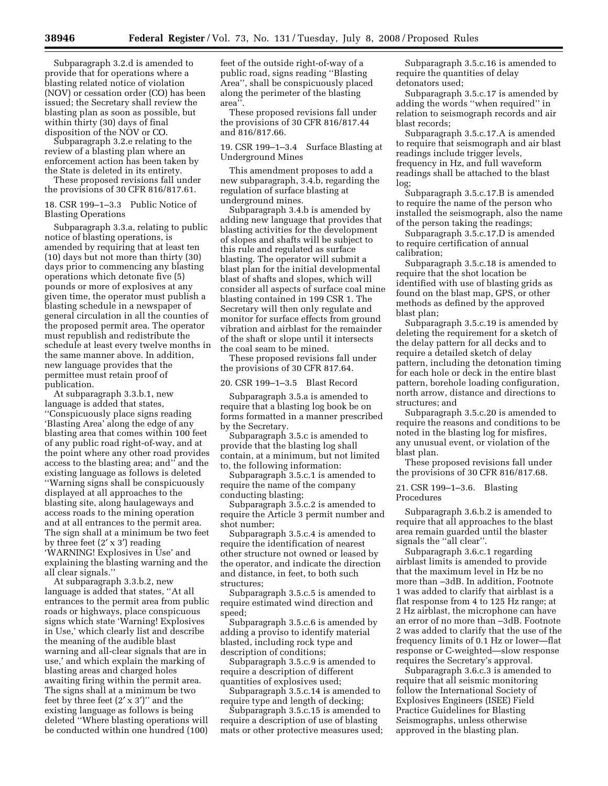Subparagraph 3.2.d is amended to provide that for operations where a blasting related notice of violation (NOV) or cessation order (CO) has been issued; the Secretary shall review the blasting plan as soon as possible, but within thirty (30) days of final disposition of the NOV or CO.

Subparagraph 3.2.e relating to the review of a blasting plan where an enforcement action has been taken by the State is deleted in its entirety.

These proposed revisions fall under the provisions of 30 CFR 816/817.61.

18. CSR 199–1–3.3 Public Notice of Blasting Operations

Subparagraph 3.3.a, relating to public notice of blasting operations, is amended by requiring that at least ten (10) days but not more than thirty (30) days prior to commencing any blasting operations which detonate five (5) pounds or more of explosives at any given time, the operator must publish a blasting schedule in a newspaper of general circulation in all the counties of the proposed permit area. The operator must republish and redistribute the schedule at least every twelve months in the same manner above. In addition, new language provides that the permittee must retain proof of publication.

At subparagraph 3.3.b.1, new language is added that states, ''Conspicuously place signs reading 'Blasting Area' along the edge of any blasting area that comes within 100 feet of any public road right-of-way, and at the point where any other road provides access to the blasting area; and'' and the existing language as follows is deleted ''Warning signs shall be conspicuously displayed at all approaches to the blasting site, along haulageways and access roads to the mining operation and at all entrances to the permit area. The sign shall at a minimum be two feet by three feet  $(2' \times 3')$  reading 'WARNING! Explosives in Use' and explaining the blasting warning and the all clear signals.''

At subparagraph 3.3.b.2, new language is added that states, ''At all entrances to the permit area from public roads or highways, place conspicuous signs which state 'Warning! Explosives in Use,' which clearly list and describe the meaning of the audible blast warning and all-clear signals that are in use,' and which explain the marking of blasting areas and charged holes awaiting firing within the permit area. The signs shall at a minimum be two feet by three feet  $(2' \times 3')$ " and the existing language as follows is being deleted ''Where blasting operations will be conducted within one hundred (100)

feet of the outside right-of-way of a public road, signs reading ''Blasting Area'', shall be conspicuously placed along the perimeter of the blasting area''.

These proposed revisions fall under the provisions of 30 CFR 816/817.44 and 816/817.66.

19. CSR 199–1–3.4 Surface Blasting at Underground Mines

This amendment proposes to add a new subparagraph, 3.4.b, regarding the regulation of surface blasting at underground mines.

Subparagraph 3.4.b is amended by adding new language that provides that blasting activities for the development of slopes and shafts will be subject to this rule and regulated as surface blasting. The operator will submit a blast plan for the initial developmental blast of shafts and slopes, which will consider all aspects of surface coal mine blasting contained in 199 CSR 1. The Secretary will then only regulate and monitor for surface effects from ground vibration and airblast for the remainder of the shaft or slope until it intersects the coal seam to be mined.

These proposed revisions fall under the provisions of 30 CFR 817.64.

20. CSR 199–1–3.5 Blast Record

Subparagraph 3.5.a is amended to require that a blasting log book be on forms formatted in a manner prescribed by the Secretary.

Subparagraph 3.5.c is amended to provide that the blasting log shall contain, at a minimum, but not limited to, the following information:

Subparagraph 3.5.c.1 is amended to require the name of the company conducting blasting;

Subparagraph 3.5.c.2 is amended to require the Article 3 permit number and shot number;

Subparagraph 3.5.c.4 is amended to require the identification of nearest other structure not owned or leased by the operator, and indicate the direction and distance, in feet, to both such structures;

Subparagraph 3.5.c.5 is amended to require estimated wind direction and speed;

Subparagraph 3.5.c.6 is amended by adding a proviso to identify material blasted, including rock type and description of conditions;

Subparagraph 3.5.c.9 is amended to require a description of different quantities of explosives used;

Subparagraph 3.5.c.14 is amended to require type and length of decking;

Subparagraph 3.5.c.15 is amended to require a description of use of blasting mats or other protective measures used;

Subparagraph 3.5.c.16 is amended to require the quantities of delay detonators used;

Subparagraph 3.5.c.17 is amended by adding the words ''when required'' in relation to seismograph records and air blast records;

Subparagraph 3.5.c.17.A is amended to require that seismograph and air blast readings include trigger levels, frequency in Hz, and full waveform readings shall be attached to the blast log;

Subparagraph 3.5.c.17.B is amended to require the name of the person who installed the seismograph, also the name of the person taking the readings;

Subparagraph 3.5.c.17.D is amended to require certification of annual calibration;

Subparagraph 3.5.c.18 is amended to require that the shot location be identified with use of blasting grids as found on the blast map, GPS, or other methods as defined by the approved blast plan;

Subparagraph 3.5.c.19 is amended by deleting the requirement for a sketch of the delay pattern for all decks and to require a detailed sketch of delay pattern, including the detonation timing for each hole or deck in the entire blast pattern, borehole loading configuration, north arrow, distance and directions to structures; and

Subparagraph 3.5.c.20 is amended to require the reasons and conditions to be noted in the blasting log for misfires, any unusual event, or violation of the blast plan.

These proposed revisions fall under the provisions of 30 CFR 816/817.68.

21. CSR 199–1–3.6. Blasting Procedures

Subparagraph 3.6.b.2 is amended to require that all approaches to the blast area remain guarded until the blaster signals the ''all clear''.

Subparagraph 3.6.c.1 regarding airblast limits is amended to provide that the maximum level in Hz be no more than –3dB. In addition, Footnote 1 was added to clarify that airblast is a flat response from 4 to 125 Hz range; at 2 Hz airblast, the microphone can have an error of no more than –3dB. Footnote 2 was added to clarify that the use of the frequency limits of 0.1 Hz or lower—flat response or C-weighted—slow response requires the Secretary's approval.

Subparagraph 3.6.c.3 is amended to require that all seismic monitoring follow the International Society of Explosives Engineers (ISEE) Field Practice Guidelines for Blasting Seismographs, unless otherwise approved in the blasting plan.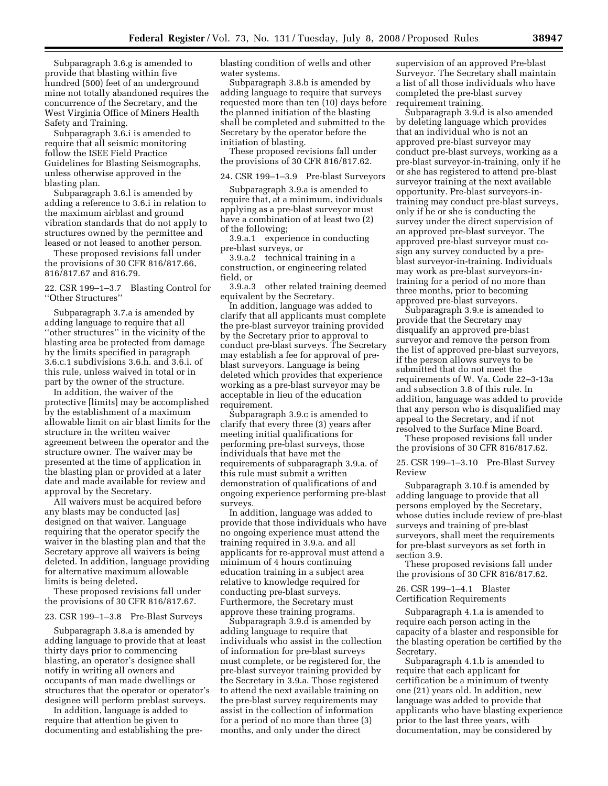Subparagraph 3.6.g is amended to provide that blasting within five hundred (500) feet of an underground mine not totally abandoned requires the concurrence of the Secretary, and the West Virginia Office of Miners Health Safety and Training.

Subparagraph 3.6.i is amended to require that all seismic monitoring follow the ISEE Field Practice Guidelines for Blasting Seismographs, unless otherwise approved in the blasting plan.

Subparagraph 3.6.l is amended by adding a reference to 3.6.i in relation to the maximum airblast and ground vibration standards that do not apply to structures owned by the permittee and leased or not leased to another person.

These proposed revisions fall under the provisions of 30 CFR 816/817.66, 816/817.67 and 816.79.

22. CSR 199–1–3.7 Blasting Control for ''Other Structures''

Subparagraph 3.7.a is amended by adding language to require that all ''other structures'' in the vicinity of the blasting area be protected from damage by the limits specified in paragraph 3.6.c.1 subdivisions 3.6.h. and 3.6.i. of this rule, unless waived in total or in part by the owner of the structure.

In addition, the waiver of the protective [limits] may be accomplished by the establishment of a maximum allowable limit on air blast limits for the structure in the written waiver agreement between the operator and the structure owner. The waiver may be presented at the time of application in the blasting plan or provided at a later date and made available for review and approval by the Secretary.

All waivers must be acquired before any blasts may be conducted [as] designed on that waiver. Language requiring that the operator specify the waiver in the blasting plan and that the Secretary approve all waivers is being deleted. In addition, language providing for alternative maximum allowable limits is being deleted.

These proposed revisions fall under the provisions of 30 CFR 816/817.67.

# 23. CSR 199–1–3.8 Pre-Blast Surveys

Subparagraph 3.8.a is amended by adding language to provide that at least thirty days prior to commencing blasting, an operator's designee shall notify in writing all owners and occupants of man made dwellings or structures that the operator or operator's designee will perform preblast surveys.

In addition, language is added to require that attention be given to documenting and establishing the preblasting condition of wells and other water systems.

Subparagraph 3.8.b is amended by adding language to require that surveys requested more than ten (10) days before the planned initiation of the blasting shall be completed and submitted to the Secretary by the operator before the initiation of blasting.

These proposed revisions fall under the provisions of 30 CFR 816/817.62.

## 24. CSR 199–1–3.9 Pre-blast Surveyors

Subparagraph 3.9.a is amended to require that, at a minimum, individuals applying as a pre-blast surveyor must have a combination of at least two (2) of the following;

3.9.a.1 experience in conducting pre-blast surveys, or

3.9.a.2 technical training in a construction, or engineering related field, or

3.9.a.3 other related training deemed equivalent by the Secretary.

In addition, language was added to clarify that all applicants must complete the pre-blast surveyor training provided by the Secretary prior to approval to conduct pre-blast surveys. The Secretary may establish a fee for approval of preblast surveyors. Language is being deleted which provides that experience working as a pre-blast surveyor may be acceptable in lieu of the education requirement.

Subparagraph 3.9.c is amended to clarify that every three (3) years after meeting initial qualifications for performing pre-blast surveys, those individuals that have met the requirements of subparagraph 3.9.a. of this rule must submit a written demonstration of qualifications of and ongoing experience performing pre-blast surveys.

In addition, language was added to provide that those individuals who have no ongoing experience must attend the training required in 3.9.a. and all applicants for re-approval must attend a minimum of 4 hours continuing education training in a subject area relative to knowledge required for conducting pre-blast surveys. Furthermore, the Secretary must approve these training programs.

Subparagraph 3.9.d is amended by adding language to require that individuals who assist in the collection of information for pre-blast surveys must complete, or be registered for, the pre-blast surveyor training provided by the Secretary in 3.9.a. Those registered to attend the next available training on the pre-blast survey requirements may assist in the collection of information for a period of no more than three (3) months, and only under the direct

supervision of an approved Pre-blast Surveyor. The Secretary shall maintain a list of all those individuals who have completed the pre-blast survey requirement training.

Subparagraph 3.9.d is also amended by deleting language which provides that an individual who is not an approved pre-blast surveyor may conduct pre-blast surveys, working as a pre-blast surveyor-in-training, only if he or she has registered to attend pre-blast surveyor training at the next available opportunity. Pre-blast surveyors-intraining may conduct pre-blast surveys, only if he or she is conducting the survey under the direct supervision of an approved pre-blast surveyor. The approved pre-blast surveyor must cosign any survey conducted by a preblast surveyor-in-training. Individuals may work as pre-blast surveyors-intraining for a period of no more than three months, prior to becoming approved pre-blast surveyors.

Subparagraph 3.9.e is amended to provide that the Secretary may disqualify an approved pre-blast surveyor and remove the person from the list of approved pre-blast surveyors, if the person allows surveys to be submitted that do not meet the requirements of W. Va. Code 22–3-13a and subsection 3.8 of this rule. In addition, language was added to provide that any person who is disqualified may appeal to the Secretary, and if not resolved to the Surface Mine Board.

These proposed revisions fall under the provisions of 30 CFR 816/817.62.

25. CSR 199–1–3.10 Pre-Blast Survey Review

Subparagraph 3.10.f is amended by adding language to provide that all persons employed by the Secretary, whose duties include review of pre-blast surveys and training of pre-blast surveyors, shall meet the requirements for pre-blast surveyors as set forth in section 3.9.

These proposed revisions fall under the provisions of 30 CFR 816/817.62.

## 26. CSR 199–1–4.1 Blaster

Certification Requirements

Subparagraph 4.1.a is amended to require each person acting in the capacity of a blaster and responsible for the blasting operation be certified by the Secretary.

Subparagraph 4.1.b is amended to require that each applicant for certification be a minimum of twenty one (21) years old. In addition, new language was added to provide that applicants who have blasting experience prior to the last three years, with documentation, may be considered by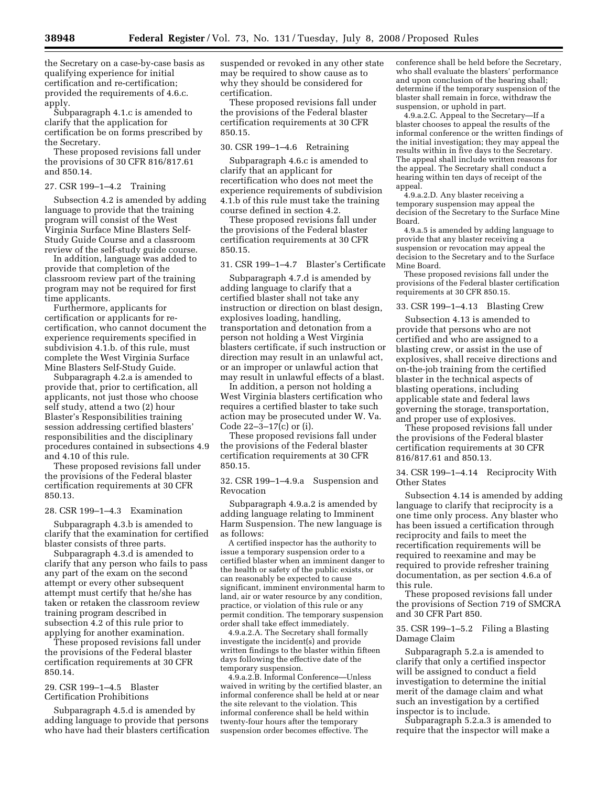the Secretary on a case-by-case basis as qualifying experience for initial certification and re-certification; provided the requirements of 4.6.c. apply.

Subparagraph 4.1.c is amended to clarify that the application for certification be on forms prescribed by the Secretary.

These proposed revisions fall under the provisions of 30 CFR 816/817.61 and 850.14.

## 27. CSR 199–1–4.2 Training

Subsection 4.2 is amended by adding language to provide that the training program will consist of the West Virginia Surface Mine Blasters Self-Study Guide Course and a classroom review of the self-study guide course.

In addition, language was added to provide that completion of the classroom review part of the training program may not be required for first time applicants.

Furthermore, applicants for certification or applicants for recertification, who cannot document the experience requirements specified in subdivision 4.1.b. of this rule, must complete the West Virginia Surface Mine Blasters Self-Study Guide.

Subparagraph 4.2.a is amended to provide that, prior to certification, all applicants, not just those who choose self study, attend a two (2) hour Blaster's Responsibilities training session addressing certified blasters' responsibilities and the disciplinary procedures contained in subsections 4.9 and 4.10 of this rule.

These proposed revisions fall under the provisions of the Federal blaster certification requirements at 30 CFR 850.13.

#### 28. CSR 199–1–4.3 Examination

Subparagraph 4.3.b is amended to clarify that the examination for certified blaster consists of three parts.

Subparagraph 4.3.d is amended to clarify that any person who fails to pass any part of the exam on the second attempt or every other subsequent attempt must certify that he/she has taken or retaken the classroom review training program described in subsection 4.2 of this rule prior to applying for another examination.

These proposed revisions fall under the provisions of the Federal blaster certification requirements at 30 CFR 850.14.

# 29. CSR 199–1–4.5 Blaster Certification Prohibitions

Subparagraph 4.5.d is amended by adding language to provide that persons who have had their blasters certification suspended or revoked in any other state may be required to show cause as to why they should be considered for certification.

These proposed revisions fall under the provisions of the Federal blaster certification requirements at 30 CFR 850.15.

#### 30. CSR 199–1–4.6 Retraining

Subparagraph 4.6.c is amended to clarify that an applicant for recertification who does not meet the experience requirements of subdivision 4.1.b of this rule must take the training course defined in section 4.2.

These proposed revisions fall under the provisions of the Federal blaster certification requirements at 30 CFR 850.15.

# 31. CSR 199–1–4.7 Blaster's Certificate

Subparagraph 4.7.d is amended by adding language to clarify that a certified blaster shall not take any instruction or direction on blast design, explosives loading, handling, transportation and detonation from a person not holding a West Virginia blasters certificate, if such instruction or direction may result in an unlawful act, or an improper or unlawful action that may result in unlawful effects of a blast.

In addition, a person not holding a West Virginia blasters certification who requires a certified blaster to take such action may be prosecuted under W. Va. Code 22–3–17(c) or (i).

These proposed revisions fall under the provisions of the Federal blaster certification requirements at 30 CFR 850.15.

32. CSR 199–1–4.9.a Suspension and Revocation

Subparagraph 4.9.a.2 is amended by adding language relating to Imminent Harm Suspension. The new language is as follows:

A certified inspector has the authority to issue a temporary suspension order to a certified blaster when an imminent danger to the health or safety of the public exists, or can reasonably be expected to cause significant, imminent environmental harm to land, air or water resource by any condition, practice, or violation of this rule or any permit condition. The temporary suspension order shall take effect immediately.

4.9.a.2.A. The Secretary shall formally investigate the incident(s) and provide written findings to the blaster within fifteen days following the effective date of the temporary suspension.

4.9.a.2.B. Informal Conference—Unless waived in writing by the certified blaster, an informal conference shall be held at or near the site relevant to the violation. This informal conference shall be held within twenty-four hours after the temporary suspension order becomes effective. The

conference shall be held before the Secretary, who shall evaluate the blasters' performance and upon conclusion of the hearing shall; determine if the temporary suspension of the blaster shall remain in force, withdraw the suspension, or uphold in part.

4.9.a.2.C. Appeal to the Secretary—If a blaster chooses to appeal the results of the informal conference or the written findings of the initial investigation; they may appeal the results within in five days to the Secretary. The appeal shall include written reasons for the appeal. The Secretary shall conduct a hearing within ten days of receipt of the appeal.

4.9.a.2.D. Any blaster receiving a temporary suspension may appeal the decision of the Secretary to the Surface Mine Board.

4.9.a.5 is amended by adding language to provide that any blaster receiving a suspension or revocation may appeal the decision to the Secretary and to the Surface Mine Board.

These proposed revisions fall under the provisions of the Federal blaster certification requirements at 30 CFR 850.15.

## 33. CSR 199–1–4.13 Blasting Crew

Subsection 4.13 is amended to provide that persons who are not certified and who are assigned to a blasting crew, or assist in the use of explosives, shall receive directions and on-the-job training from the certified blaster in the technical aspects of blasting operations, including applicable state and federal laws governing the storage, transportation, and proper use of explosives.

These proposed revisions fall under the provisions of the Federal blaster certification requirements at 30 CFR 816/817.61 and 850.13.

34. CSR 199–1–4.14 Reciprocity With Other States

Subsection 4.14 is amended by adding language to clarify that reciprocity is a one time only process. Any blaster who has been issued a certification through reciprocity and fails to meet the recertification requirements will be required to reexamine and may be required to provide refresher training documentation, as per section 4.6.a of this rule.

These proposed revisions fall under the provisions of Section 719 of SMCRA and 30 CFR Part 850.

## 35. CSR 199–1–5.2 Filing a Blasting Damage Claim

Subparagraph 5.2.a is amended to clarify that only a certified inspector will be assigned to conduct a field investigation to determine the initial merit of the damage claim and what such an investigation by a certified inspector is to include.

Subparagraph 5.2.a.3 is amended to require that the inspector will make a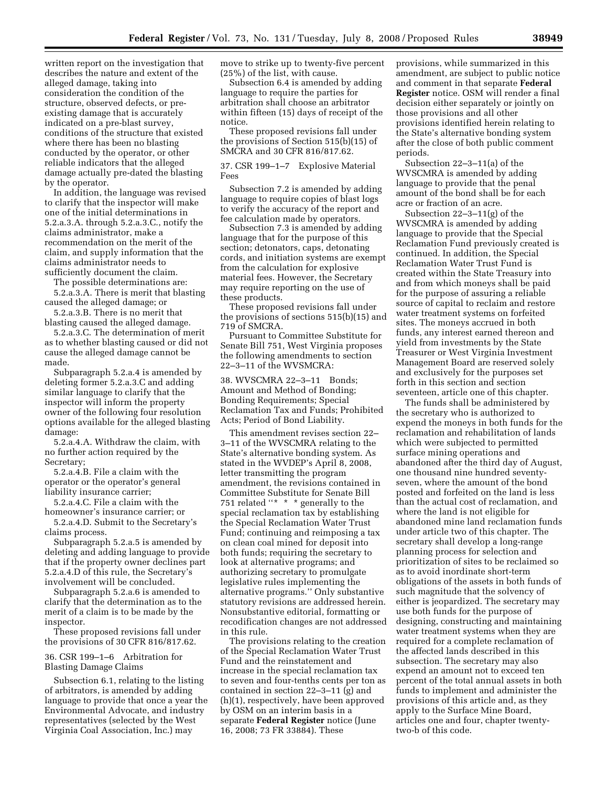written report on the investigation that describes the nature and extent of the alleged damage, taking into consideration the condition of the structure, observed defects, or preexisting damage that is accurately indicated on a pre-blast survey, conditions of the structure that existed where there has been no blasting conducted by the operator, or other reliable indicators that the alleged damage actually pre-dated the blasting by the operator.

In addition, the language was revised to clarify that the inspector will make one of the initial determinations in 5.2.a.3.A. through 5.2.a.3.C., notify the claims administrator, make a recommendation on the merit of the claim, and supply information that the claims administrator needs to sufficiently document the claim.

The possible determinations are:

5.2.a.3.A. There is merit that blasting caused the alleged damage; or

5.2.a.3.B. There is no merit that blasting caused the alleged damage.

5.2.a.3.C. The determination of merit as to whether blasting caused or did not cause the alleged damage cannot be made.

Subparagraph 5.2.a.4 is amended by deleting former 5.2.a.3.C and adding similar language to clarify that the inspector will inform the property owner of the following four resolution options available for the alleged blasting damage:

5.2.a.4.A. Withdraw the claim, with no further action required by the Secretary;

5.2.a.4.B. File a claim with the operator or the operator's general liability insurance carrier;

5.2.a.4.C. File a claim with the homeowner's insurance carrier; or

5.2.a.4.D. Submit to the Secretary's claims process.

Subparagraph 5.2.a.5 is amended by deleting and adding language to provide that if the property owner declines part 5.2.a.4.D of this rule, the Secretary's involvement will be concluded.

Subparagraph 5.2.a.6 is amended to clarify that the determination as to the merit of a claim is to be made by the inspector.

These proposed revisions fall under the provisions of 30 CFR 816/817.62.

## 36. CSR 199–1–6 Arbitration for Blasting Damage Claims

Subsection 6.1, relating to the listing of arbitrators, is amended by adding language to provide that once a year the Environmental Advocate, and industry representatives (selected by the West Virginia Coal Association, Inc.) may

move to strike up to twenty-five percent (25%) of the list, with cause.

Subsection 6.4 is amended by adding language to require the parties for arbitration shall choose an arbitrator within fifteen (15) days of receipt of the notice.

These proposed revisions fall under the provisions of Section 515(b)(15) of SMCRA and 30 CFR 816/817.62.

37. CSR 199–1–7 Explosive Material Fees

Subsection 7.2 is amended by adding language to require copies of blast logs to verify the accuracy of the report and fee calculation made by operators.

Subsection 7.3 is amended by adding language that for the purpose of this section; detonators, caps, detonating cords, and initiation systems are exempt from the calculation for explosive material fees. However, the Secretary may require reporting on the use of these products.

These proposed revisions fall under the provisions of sections 515(b)(15) and 719 of SMCRA.

Pursuant to Committee Substitute for Senate Bill 751, West Virginia proposes the following amendments to section 22–3–11 of the WVSMCRA:

38. WVSCMRA 22–3–11 Bonds; Amount and Method of Bonding; Bonding Requirements; Special Reclamation Tax and Funds; Prohibited Acts; Period of Bond Liability.

This amendment revises section 22– 3–11 of the WVSCMRA relating to the State's alternative bonding system. As stated in the WVDEP's April 8, 2008, letter transmitting the program amendment, the revisions contained in Committee Substitute for Senate Bill 751 related ''\* \* \* generally to the special reclamation tax by establishing the Special Reclamation Water Trust Fund; continuing and reimposing a tax on clean coal mined for deposit into both funds; requiring the secretary to look at alternative programs; and authorizing secretary to promulgate legislative rules implementing the alternative programs.'' Only substantive statutory revisions are addressed herein. Nonsubstantive editorial, formatting or recodification changes are not addressed in this rule.

The provisions relating to the creation of the Special Reclamation Water Trust Fund and the reinstatement and increase in the special reclamation tax to seven and four-tenths cents per ton as contained in section 22–3–11 (g) and (h)(1), respectively, have been approved by OSM on an interim basis in a separate **Federal Register** notice (June 16, 2008; 73 FR 33884). These

provisions, while summarized in this amendment, are subject to public notice and comment in that separate **Federal Register** notice. OSM will render a final decision either separately or jointly on those provisions and all other provisions identified herein relating to the State's alternative bonding system after the close of both public comment periods.

Subsection 22–3–11(a) of the WVSCMRA is amended by adding language to provide that the penal amount of the bond shall be for each acre or fraction of an acre.

Subsection 22–3–11(g) of the WVSCMRA is amended by adding language to provide that the Special Reclamation Fund previously created is continued. In addition, the Special Reclamation Water Trust Fund is created within the State Treasury into and from which moneys shall be paid for the purpose of assuring a reliable source of capital to reclaim and restore water treatment systems on forfeited sites. The moneys accrued in both funds, any interest earned thereon and yield from investments by the State Treasurer or West Virginia Investment Management Board are reserved solely and exclusively for the purposes set forth in this section and section seventeen, article one of this chapter.

The funds shall be administered by the secretary who is authorized to expend the moneys in both funds for the reclamation and rehabilitation of lands which were subjected to permitted surface mining operations and abandoned after the third day of August, one thousand nine hundred seventyseven, where the amount of the bond posted and forfeited on the land is less than the actual cost of reclamation, and where the land is not eligible for abandoned mine land reclamation funds under article two of this chapter. The secretary shall develop a long-range planning process for selection and prioritization of sites to be reclaimed so as to avoid inordinate short-term obligations of the assets in both funds of such magnitude that the solvency of either is jeopardized. The secretary may use both funds for the purpose of designing, constructing and maintaining water treatment systems when they are required for a complete reclamation of the affected lands described in this subsection. The secretary may also expend an amount not to exceed ten percent of the total annual assets in both funds to implement and administer the provisions of this article and, as they apply to the Surface Mine Board, articles one and four, chapter twentytwo-b of this code.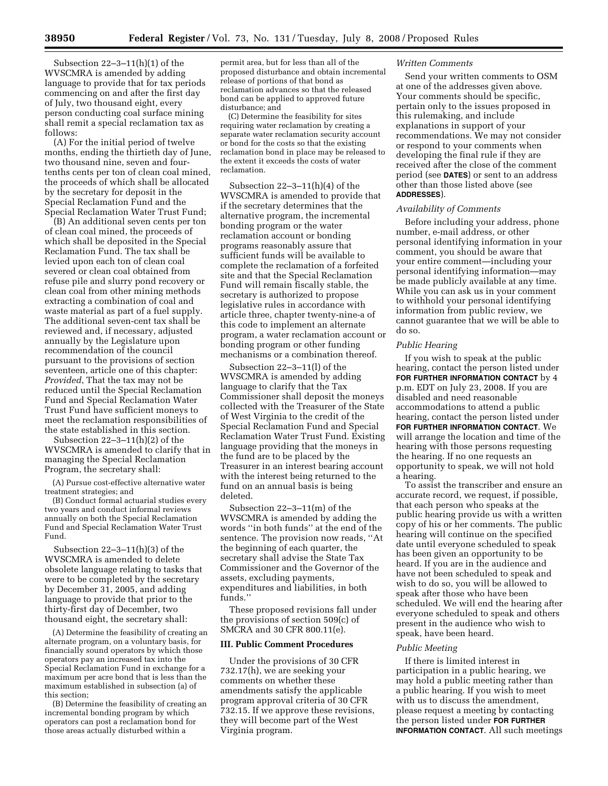Subsection 22–3–11(h)(1) of the WVSCMRA is amended by adding language to provide that for tax periods commencing on and after the first day of July, two thousand eight, every person conducting coal surface mining shall remit a special reclamation tax as follows:

(A) For the initial period of twelve months, ending the thirtieth day of June, two thousand nine, seven and fourtenths cents per ton of clean coal mined, the proceeds of which shall be allocated by the secretary for deposit in the Special Reclamation Fund and the Special Reclamation Water Trust Fund;

(B) An additional seven cents per ton of clean coal mined, the proceeds of which shall be deposited in the Special Reclamation Fund. The tax shall be levied upon each ton of clean coal severed or clean coal obtained from refuse pile and slurry pond recovery or clean coal from other mining methods extracting a combination of coal and waste material as part of a fuel supply. The additional seven-cent tax shall be reviewed and, if necessary, adjusted annually by the Legislature upon recommendation of the council pursuant to the provisions of section seventeen, article one of this chapter: *Provided*, That the tax may not be reduced until the Special Reclamation Fund and Special Reclamation Water Trust Fund have sufficient moneys to meet the reclamation responsibilities of the state established in this section.

Subsection 22–3–11(h)(2) of the WVSCMRA is amended to clarify that in managing the Special Reclamation Program, the secretary shall:

(A) Pursue cost-effective alternative water treatment strategies; and

(B) Conduct formal actuarial studies every two years and conduct informal reviews annually on both the Special Reclamation Fund and Special Reclamation Water Trust Fund.

Subsection 22–3–11(h)(3) of the WVSCMRA is amended to delete obsolete language relating to tasks that were to be completed by the secretary by December 31, 2005, and adding language to provide that prior to the thirty-first day of December, two thousand eight, the secretary shall:

(A) Determine the feasibility of creating an alternate program, on a voluntary basis, for financially sound operators by which those operators pay an increased tax into the Special Reclamation Fund in exchange for a maximum per acre bond that is less than the maximum established in subsection (a) of this section;

(B) Determine the feasibility of creating an incremental bonding program by which operators can post a reclamation bond for those areas actually disturbed within a

permit area, but for less than all of the proposed disturbance and obtain incremental release of portions of that bond as reclamation advances so that the released bond can be applied to approved future disturbance; and

(C) Determine the feasibility for sites requiring water reclamation by creating a separate water reclamation security account or bond for the costs so that the existing reclamation bond in place may be released to the extent it exceeds the costs of water reclamation.

Subsection  $22-3-11(h)(4)$  of the WVSCMRA is amended to provide that if the secretary determines that the alternative program, the incremental bonding program or the water reclamation account or bonding programs reasonably assure that sufficient funds will be available to complete the reclamation of a forfeited site and that the Special Reclamation Fund will remain fiscally stable, the secretary is authorized to propose legislative rules in accordance with article three, chapter twenty-nine-a of this code to implement an alternate program, a water reclamation account or bonding program or other funding mechanisms or a combination thereof.

Subsection 22–3–11(l) of the WVSCMRA is amended by adding language to clarify that the Tax Commissioner shall deposit the moneys collected with the Treasurer of the State of West Virginia to the credit of the Special Reclamation Fund and Special Reclamation Water Trust Fund. Existing language providing that the moneys in the fund are to be placed by the Treasurer in an interest bearing account with the interest being returned to the fund on an annual basis is being deleted.

Subsection 22–3–11(m) of the WVSCMRA is amended by adding the words ''in both funds'' at the end of the sentence. The provision now reads, ''At the beginning of each quarter, the secretary shall advise the State Tax Commissioner and the Governor of the assets, excluding payments, expenditures and liabilities, in both funds.''

These proposed revisions fall under the provisions of section 509(c) of SMCRA and 30 CFR 800.11(e).

## **III. Public Comment Procedures**

Under the provisions of 30 CFR 732.17(h), we are seeking your comments on whether these amendments satisfy the applicable program approval criteria of 30 CFR 732.15. If we approve these revisions, they will become part of the West Virginia program.

### *Written Comments*

Send your written comments to OSM at one of the addresses given above. Your comments should be specific, pertain only to the issues proposed in this rulemaking, and include explanations in support of your recommendations. We may not consider or respond to your comments when developing the final rule if they are received after the close of the comment period (see **DATES**) or sent to an address other than those listed above (see **ADDRESSES**).

## *Availability of Comments*

Before including your address, phone number, e-mail address, or other personal identifying information in your comment, you should be aware that your entire comment—including your personal identifying information—may be made publicly available at any time. While you can ask us in your comment to withhold your personal identifying information from public review, we cannot guarantee that we will be able to do so.

#### *Public Hearing*

If you wish to speak at the public hearing, contact the person listed under **FOR FURTHER INFORMATION CONTACT** by 4 p.m. EDT on July 23, 2008. If you are disabled and need reasonable accommodations to attend a public hearing, contact the person listed under **FOR FURTHER INFORMATION CONTACT**. We will arrange the location and time of the hearing with those persons requesting the hearing. If no one requests an opportunity to speak, we will not hold a hearing.

To assist the transcriber and ensure an accurate record, we request, if possible, that each person who speaks at the public hearing provide us with a written copy of his or her comments. The public hearing will continue on the specified date until everyone scheduled to speak has been given an opportunity to be heard. If you are in the audience and have not been scheduled to speak and wish to do so, you will be allowed to speak after those who have been scheduled. We will end the hearing after everyone scheduled to speak and others present in the audience who wish to speak, have been heard.

#### *Public Meeting*

If there is limited interest in participation in a public hearing, we may hold a public meeting rather than a public hearing. If you wish to meet with us to discuss the amendment, please request a meeting by contacting the person listed under **FOR FURTHER INFORMATION CONTACT**. All such meetings